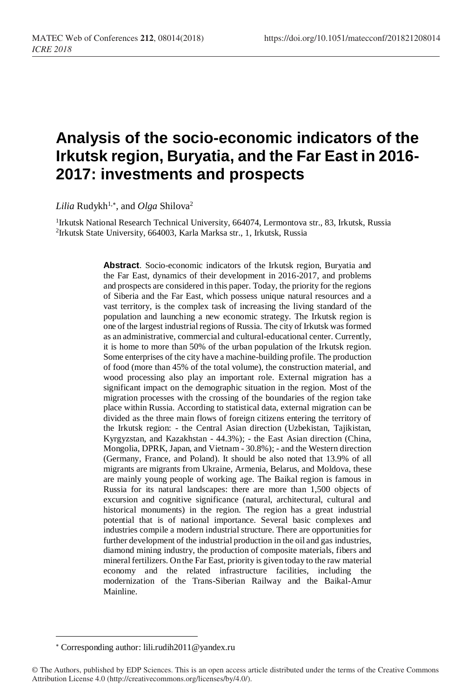# **Analysis of the socio-economic indicators of the Irkutsk region, Buryatia, and the Far East in 2016- 2017: investments and prospects**

*Lilia* Rudykh1, , and *Olga* Shilova<sup>2</sup>

<sup>1</sup>Irkutsk National Research Technical University, 664074, Lermontova str., 83, Irkutsk, Russia 2 Irkutsk State University, 664003, Karla Marksa str., 1, Irkutsk, Russia

> **Abstract**. Socio-economic indicators of the Irkutsk region, Buryatia and the Far East, dynamics of their development in 2016-2017, and problems and prospects are considered in this paper. Today, the priority for the regions of Siberia and the Far East, which possess unique natural resources and a vast territory, is the complex task of increasing the living standard of the population and launching a new economic strategy. The Irkutsk region is one of the largest industrial regions of Russia. The city of Irkutsk was formed as an administrative, commercial and cultural-educational center. Currently, it is home to more than 50% of the urban population of the Irkutsk region. Some enterprises of the city have a machine-building profile. The production of food (more than 45% of the total volume), the construction material, and wood processing also play an important role. External migration has a significant impact on the demographic situation in the region. Most of the migration processes with the crossing of the boundaries of the region take place within Russia. According to statistical data, external migration can be divided as the three main flows of foreign citizens entering the territory of the Irkutsk region: - the Central Asian direction (Uzbekistan, Tajikistan, Kyrgyzstan, and Kazakhstan - 44.3%); - the East Asian direction (China, Mongolia, DPRK, Japan, and Vietnam - 30.8%); - and the Western direction (Germany, France, and Poland). It should be also noted that 13.9% of all migrants are migrants from Ukraine, Armenia, Belarus, and Moldova, these are mainly young people of working age. The Baikal region is famous in Russia for its natural landscapes: there are more than 1,500 objects of excursion and cognitive significance (natural, architectural, cultural and historical monuments) in the region. The region has a great industrial potential that is of national importance. Several basic complexes and industries compile a modern industrial structure. There are opportunities for further development of the industrial production in the oil and gas industries, diamond mining industry, the production of composite materials, fibers and mineral fertilizers. On the Far East, priority is given today to the raw material economy and the related infrastructure facilities, including the modernization of the Trans-Siberian Railway and the Baikal-Amur Mainline.

l

Corresponding author: lili.rudih2011@yandex.ru

<sup>©</sup> The Authors, published by EDP Sciences. This is an open access article distributed under the terms of the Creative Commons Attribution License 4.0 (http://creativecommons.org/licenses/by/4.0/).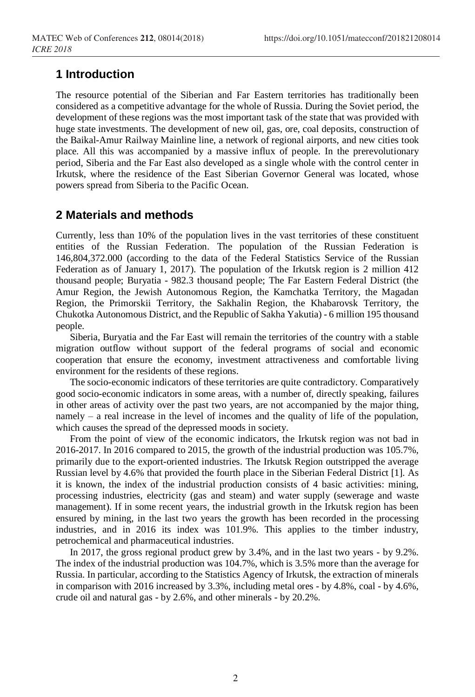## **1 Introduction**

The resource potential of the Siberian and Far Eastern territories has traditionally been considered as a competitive advantage for the whole of Russia. During the Soviet period, the development of these regions was the most important task of the state that was provided with huge state investments. The development of new oil, gas, ore, coal deposits, construction of the Baikal-Amur Railway Mainline line, a network of regional airports, and new cities took place. All this was accompanied by a massive influx of people. In the prerevolutionary period, Siberia and the Far East also developed as a single whole with the control center in Irkutsk, where the residence of the East Siberian Governor General was located, whose powers spread from Siberia to the Pacific Ocean.

## **2 Materials and methods**

Currently, less than 10% of the population lives in the vast territories of these constituent entities of the Russian Federation. The population of the Russian Federation is 146,804,372.000 (according to the data of the Federal Statistics Service of the Russian Federation as of January 1, 2017). The population of the Irkutsk region is 2 million 412 thousand people; Buryatia - 982.3 thousand people; The Far Eastern Federal District (the Amur Region, the Jewish Autonomous Region, the Kamchatka Territory, the Magadan Region, the Primorskii Territory, the Sakhalin Region, the Khabarovsk Territory, the Chukotka Autonomous District, and the Republic of Sakha Yakutia) - 6 million 195 thousand people.

Siberia, Buryatia and the Far East will remain the territories of the country with a stable migration outflow without support of the federal programs of social and economic cooperation that ensure the economy, investment attractiveness and comfortable living environment for the residents of these regions.

The socio-economic indicators of these territories are quite contradictory. Comparatively good socio-economic indicators in some areas, with a number of, directly speaking, failures in other areas of activity over the past two years, are not accompanied by the major thing, namely – a real increase in the level of incomes and the quality of life of the population, which causes the spread of the depressed moods in society.

From the point of view of the economic indicators, the Irkutsk region was not bad in 2016-2017. In 2016 compared to 2015, the growth of the industrial production was 105.7%, primarily due to the export-oriented industries. The Irkutsk Region outstripped the average Russian level by 4.6% that provided the fourth place in the Siberian Federal District [1]. As it is known, the index of the industrial production consists of 4 basic activities: mining, processing industries, electricity (gas and steam) and water supply (sewerage and waste management). If in some recent years, the industrial growth in the Irkutsk region has been ensured by mining, in the last two years the growth has been recorded in the processing industries, and in 2016 its index was 101.9%. This applies to the timber industry, petrochemical and pharmaceutical industries.

In 2017, the gross regional product grew by 3.4%, and in the last two years - by 9.2%. The index of the industrial production was 104.7%, which is 3.5% more than the average for Russia. In particular, according to the Statistics Agency of Irkutsk, the extraction of minerals in comparison with 2016 increased by 3.3%, including metal ores - by 4.8%, coal - by 4.6%, crude oil and natural gas - by 2.6%, and other minerals - by 20.2%.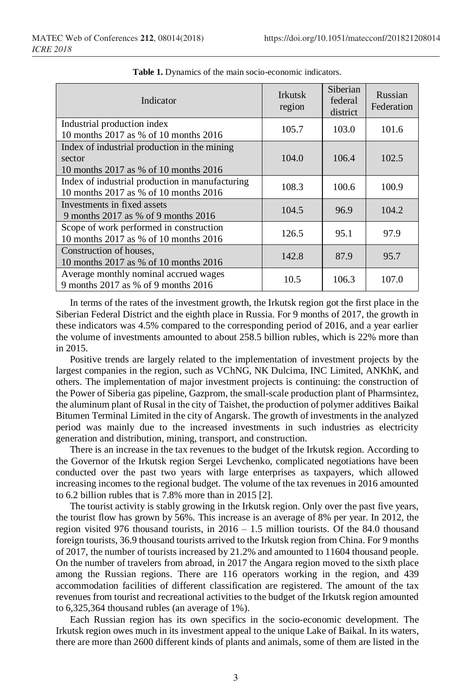| Indicator                                                                                       | <b>Irkutsk</b><br>region | Siberian<br>federal<br>district | Russian<br>Federation |
|-------------------------------------------------------------------------------------------------|--------------------------|---------------------------------|-----------------------|
| Industrial production index<br>10 months 2017 as % of 10 months 2016                            | 105.7                    | 103.0                           | 101.6                 |
| Index of industrial production in the mining<br>sector<br>10 months 2017 as % of 10 months 2016 | 104.0                    | 106.4                           | 102.5                 |
| Index of industrial production in manufacturing<br>10 months 2017 as % of 10 months 2016        | 108.3                    | 100.6                           | 100.9                 |
| Investments in fixed assets<br>9 months 2017 as % of 9 months 2016                              | 104.5                    | 96.9                            | 104.2                 |
| Scope of work performed in construction<br>10 months 2017 as % of 10 months 2016                | 126.5                    | 95.1                            | 97.9                  |
| Construction of houses.<br>10 months 2017 as % of 10 months 2016                                | 142.8                    | 87.9                            | 95.7                  |
| Average monthly nominal accrued wages<br>9 months 2017 as % of 9 months 2016                    | 10.5                     | 106.3                           | 107.0                 |

**Table 1.** Dynamics of the main socio-economic indicators.

In terms of the rates of the investment growth, the Irkutsk region got the first place in the Siberian Federal District and the eighth place in Russia. For 9 months of 2017, the growth in these indicators was 4.5% compared to the corresponding period of 2016, and a year earlier the volume of investments amounted to about 258.5 billion rubles, which is 22% more than in 2015.

Positive trends are largely related to the implementation of investment projects by the largest companies in the region, such as VChNG, NK Dulcima, INC Limited, ANKhK, and others. The implementation of major investment projects is continuing: the construction of the Power of Siberia gas pipeline, Gazprom, the small-scale production plant of Pharmsintez, the aluminum plant of Rusal in the city of Taishet, the production of polymer additives Baikal Bitumen Terminal Limited in the city of Angarsk. The growth of investments in the analyzed period was mainly due to the increased investments in such industries as electricity generation and distribution, mining, transport, and construction.

There is an increase in the tax revenues to the budget of the Irkutsk region. According to the Governor of the Irkutsk region Sergei Levchenko, complicated negotiations have been conducted over the past two years with large enterprises as taxpayers, which allowed increasing incomes to the regional budget. The volume of the tax revenues in 2016 amounted to 6.2 billion rubles that is 7.8% more than in 2015 [2].

The tourist activity is stably growing in the Irkutsk region. Only over the past five years, the tourist flow has grown by 56%. This increase is an average of 8% per year. In 2012, the region visited 976 thousand tourists, in 2016 – 1.5 million tourists. Of the 84.0 thousand foreign tourists, 36.9 thousand tourists arrived to the Irkutsk region from China. For 9 months of 2017, the number of tourists increased by 21.2% and amounted to 11604 thousand people. On the number of travelers from abroad, in 2017 the Angara region moved to the sixth place among the Russian regions. There are 116 operators working in the region, and 439 accommodation facilities of different classification are registered. The amount of the tax revenues from tourist and recreational activities to the budget of the Irkutsk region amounted to 6,325,364 thousand rubles (an average of 1%).

Each Russian region has its own specifics in the socio-economic development. The Irkutsk region owes much in its investment appeal to the unique Lake of Baikal. In its waters, there are more than 2600 different kinds of plants and animals, some of them are listed in the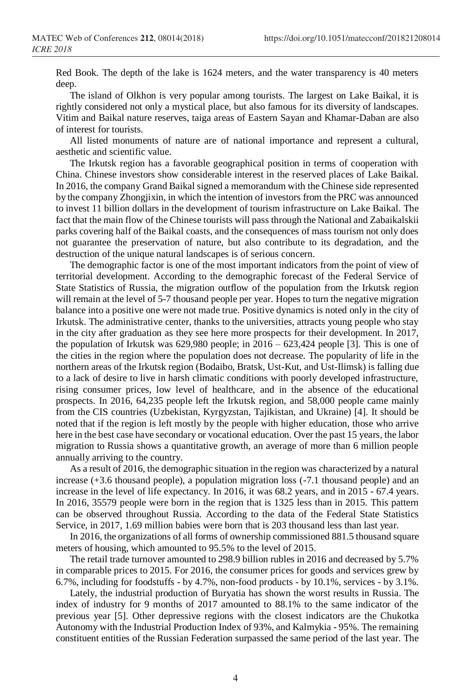Red Book. The depth of the lake is 1624 meters, and the water transparency is 40 meters deep.

The island of Olkhon is very popular among tourists. The largest on Lake Baikal, it is rightly considered not only a mystical place, but also famous for its diversity of landscapes. Vitim and Baikal nature reserves, taiga areas of Eastern Sayan and Khamar-Daban are also of interest for tourists.

All listed monuments of nature are of national importance and represent a cultural, aesthetic and scientific value.

The Irkutsk region has a favorable geographical position in terms of cooperation with China. Chinese investors show considerable interest in the reserved places of Lake Baikal. In 2016, the company Grand Baikal signed a memorandum with the Chinese side represented by the company Zhongjixin, in which the intention of investors from the PRC was announced to invest 11 billion dollars in the development of tourism infrastructure on Lake Baikal. The fact that the main flow of the Chinese tourists will pass through the National and Zabaikalskii parks covering half of the Baikal coasts, and the consequences of mass tourism not only does not guarantee the preservation of nature, but also contribute to its degradation, and the destruction of the unique natural landscapes is of serious concern.

The demographic factor is one of the most important indicators from the point of view of territorial development. According to the demographic forecast of the Federal Service of State Statistics of Russia, the migration outflow of the population from the Irkutsk region will remain at the level of 5-7 thousand people per year. Hopes to turn the negative migration balance into a positive one were not made true. Positive dynamics is noted only in the city of Irkutsk. The administrative center, thanks to the universities, attracts young people who stay in the city after graduation as they see here more prospects for their development. In 2017, the population of Irkutsk was  $629,980$  people; in  $2016 - 623,424$  people [3]. This is one of the cities in the region where the population does not decrease. The popularity of life in the northern areas of the Irkutsk region (Bodaibo, Bratsk, Ust-Kut, and Ust-Ilimsk) is falling due to a lack of desire to live in harsh climatic conditions with poorly developed infrastructure, rising consumer prices, low level of healthcare, and in the absence of the educational prospects. In 2016, 64,235 people left the Irkutsk region, and 58,000 people came mainly from the CIS countries (Uzbekistan, Kyrgyzstan, Tajikistan, and Ukraine) [4]. It should be noted that if the region is left mostly by the people with higher education, those who arrive here in the best case have secondary or vocational education. Over the past 15 years, the labor migration to Russia shows a quantitative growth, an average of more than 6 million people annually arriving to the country.

As a result of 2016, the demographic situation in the region was characterized by a natural increase (+3.6 thousand people), a population migration loss (-7.1 thousand people) and an increase in the level of life expectancy. In 2016, it was 68.2 years, and in 2015 - 67.4 years. In 2016, 35579 people were born in the region that is 1325 less than in 2015. This pattern can be observed throughout Russia. According to the data of the Federal State Statistics Service, in 2017, 1.69 million babies were born that is 203 thousand less than last year.

In 2016, the organizations of all forms of ownership commissioned 881.5 thousand square meters of housing, which amounted to 95.5% to the level of 2015.

The retail trade turnover amounted to 298.9 billion rubles in 2016 and decreased by 5.7% in comparable prices to 2015. For 2016, the consumer prices for goods and services grew by 6.7%, including for foodstuffs - by 4.7%, non-food products - by 10.1%, services - by 3.1%.

Lately, the industrial production of Buryatia has shown the worst results in Russia. The index of industry for 9 months of 2017 amounted to 88.1% to the same indicator of the previous year [5]. Other depressive regions with the closest indicators are the Chukotka Autonomy with the Industrial Production Index of 93%, and Kalmykia - 95%. The remaining constituent entities of the Russian Federation surpassed the same period of the last year. The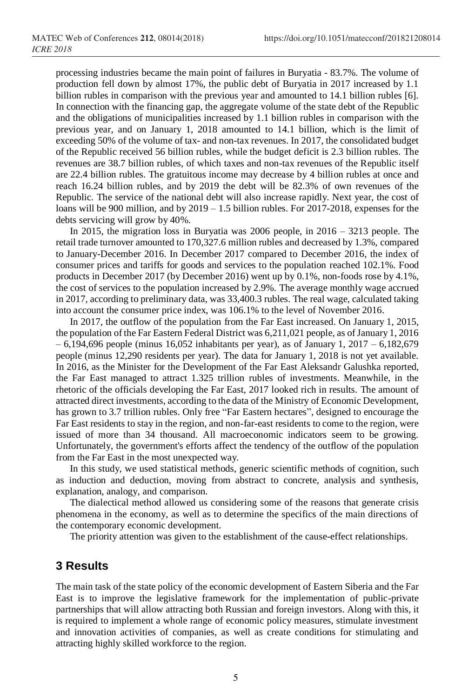processing industries became the main point of failures in Buryatia - 83.7%. The volume of production fell down by almost 17%, the public debt of Buryatia in 2017 increased by 1.1 billion rubles in comparison with the previous year and amounted to 14.1 billion rubles [6]. In connection with the financing gap, the aggregate volume of the state debt of the Republic and the obligations of municipalities increased by 1.1 billion rubles in comparison with the previous year, and on January 1, 2018 amounted to 14.1 billion, which is the limit of exceeding 50% of the volume of tax- and non-tax revenues. In 2017, the consolidated budget of the Republic received 56 billion rubles, while the budget deficit is 2.3 billion rubles. The revenues are 38.7 billion rubles, of which taxes and non-tax revenues of the Republic itself are 22.4 billion rubles. The gratuitous income may decrease by 4 billion rubles at once and reach 16.24 billion rubles, and by 2019 the debt will be 82.3% of own revenues of the Republic. The service of the national debt will also increase rapidly. Next year, the cost of loans will be 900 million, and by 2019 – 1.5 billion rubles. For 2017-2018, expenses for the debts servicing will grow by 40%.

In 2015, the migration loss in Buryatia was 2006 people, in 2016 – 3213 people. The retail trade turnover amounted to 170,327.6 million rubles and decreased by 1.3%, compared to January-December 2016. In December 2017 compared to December 2016, the index of consumer prices and tariffs for goods and services to the population reached 102.1%. Food products in December 2017 (by December 2016) went up by 0.1%, non-foods rose by 4.1%, the cost of services to the population increased by 2.9%. The average monthly wage accrued in 2017, according to preliminary data, was 33,400.3 rubles. The real wage, calculated taking into account the consumer price index, was 106.1% to the level of November 2016.

In 2017, the outflow of the population from the Far East increased. On January 1, 2015, the population of the Far Eastern Federal District was 6,211,021 people, as of January 1, 2016  $-6,194,696$  people (minus 16,052 inhabitants per year), as of January 1, 2017 – 6,182,679 people (minus 12,290 residents per year). The data for January 1, 2018 is not yet available. In 2016, as the Minister for the Development of the Far East Aleksandr Galushka reported, the Far East managed to attract 1.325 trillion rubles of investments. Meanwhile, in the rhetoric of the officials developing the Far East, 2017 looked rich in results. The amount of attracted direct investments, according to the data of the Ministry of Economic Development, has grown to 3.7 trillion rubles. Only free "Far Eastern hectares", designed to encourage the Far East residents to stay in the region, and non-far-east residents to come to the region, were issued of more than 34 thousand. All macroeconomic indicators seem to be growing. Unfortunately, the government's efforts affect the tendency of the outflow of the population from the Far East in the most unexpected way.

In this study, we used statistical methods, generic scientific methods of cognition, such as induction and deduction, moving from abstract to concrete, analysis and synthesis, explanation, analogy, and comparison.

The dialectical method allowed us considering some of the reasons that generate crisis phenomena in the economy, as well as to determine the specifics of the main directions of the contemporary economic development.

The priority attention was given to the establishment of the cause-effect relationships.

#### **3 Results**

The main task of the state policy of the economic development of Eastern Siberia and the Far East is to improve the legislative framework for the implementation of public-private partnerships that will allow attracting both Russian and foreign investors. Along with this, it is required to implement a whole range of economic policy measures, stimulate investment and innovation activities of companies, as well as create conditions for stimulating and attracting highly skilled workforce to the region.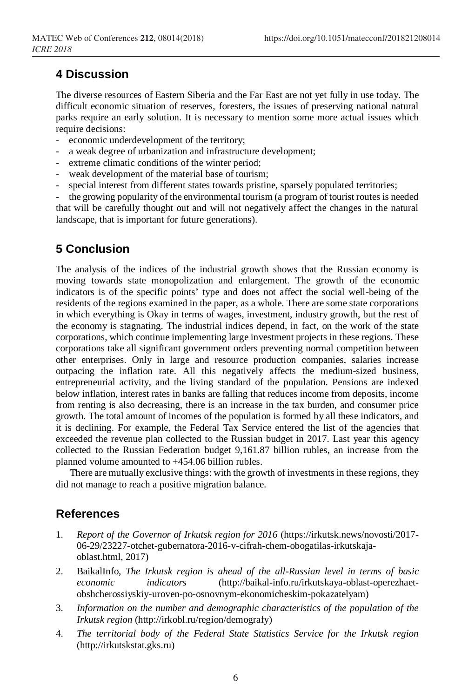## **4 Discussion**

The diverse resources of Eastern Siberia and the Far East are not yet fully in use today. The difficult economic situation of reserves, foresters, the issues of preserving national natural parks require an early solution. It is necessary to mention some more actual issues which require decisions:

- economic underdevelopment of the territory;
- a weak degree of urbanization and infrastructure development;
- extreme climatic conditions of the winter period;
- weak development of the material base of tourism;
- special interest from different states towards pristine, sparsely populated territories;

the growing popularity of the environmental tourism (a program of tourist routes is needed that will be carefully thought out and will not negatively affect the changes in the natural landscape, that is important for future generations).

## **5 Conclusion**

The analysis of the indices of the industrial growth shows that the Russian economy is moving towards state monopolization and enlargement. The growth of the economic indicators is of the specific points' type and does not affect the social well-being of the residents of the regions examined in the paper, as a whole. There are some state corporations in which everything is Okay in terms of wages, investment, industry growth, but the rest of the economy is stagnating. The industrial indices depend, in fact, on the work of the state corporations, which continue implementing large investment projects in these regions. These corporations take all significant government orders preventing normal competition between other enterprises. Only in large and resource production companies, salaries increase outpacing the inflation rate. All this negatively affects the medium-sized business, entrepreneurial activity, and the living standard of the population. Pensions are indexed below inflation, interest rates in banks are falling that reduces income from deposits, income from renting is also decreasing, there is an increase in the tax burden, and consumer price growth. The total amount of incomes of the population is formed by all these indicators, and it is declining. For example, the Federal Tax Service entered the list of the agencies that exceeded the revenue plan collected to the Russian budget in 2017. Last year this agency collected to the Russian Federation budget 9,161.87 billion rubles, an increase from the planned volume amounted to +454.06 billion rubles.

There are mutually exclusive things: with the growth of investments in these regions, they did not manage to reach a positive migration balance.

#### **References**

- 1. *Report of the Governor of Irkutsk region for 2016* (https://irkutsk.news/novosti/2017- 06-29/23227-otchet-gubernatora-2016-v-cifrah-chem-obogatilas-irkutskajaoblast.html, 2017)
- 2. BaikalInfo, *The Irkutsk region is ahead of the all-Russian level in terms of basic economic indicators* (http://baikal-info.ru/irkutskaya-oblast-operezhaetobshcherossiyskiy-uroven-po-osnovnym-ekonomicheskim-pokazatelyam)
- 3. *Information on the number and demographic characteristics of the population of the Irkutsk region* (http://irkobl.ru/region/demografy)
- 4. *The territorial body of the Federal State Statistics Service for the Irkutsk region* (http://irkutskstat.gks.ru)